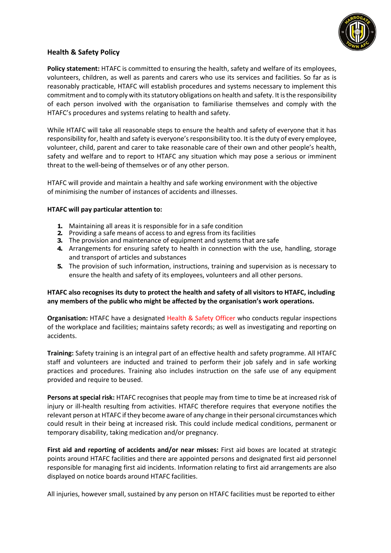

## **Health & Safety Policy**

**Policy statement:** HTAFC is committed to ensuring the health, safety and welfare of its employees, volunteers, children, as well as parents and carers who use its services and facilities. So far as is reasonably practicable, HTAFC will establish procedures and systems necessary to implement this commitment and to comply with its statutory obligations on health and safety. It is the responsibility of each person involved with the organisation to familiarise themselves and comply with the HTAFC's procedures and systems relating to health and safety.

While HTAFC will take all reasonable steps to ensure the health and safety of everyone that it has responsibility for, health and safety is everyone's responsibility too. It is the duty of every employee, volunteer, child, parent and carer to take reasonable care of their own and other people's health, safety and welfare and to report to HTAFC any situation which may pose a serious or imminent threat to the well-being of themselves or of any other person.

HTAFC will provide and maintain a healthy and safe working environment with the objective of minimising the number of instances of accidents and illnesses.

## **HTAFC will pay particular attention to:**

- **1.** Maintaining all areas it is responsible for in a safe condition
- **2.** Providing a safe means of access to and egress from its facilities
- **3.** The provision and maintenance of equipment and systems that are safe
- **4.** Arrangements for ensuring safety to health in connection with the use, handling, storage and transport of articles and substances
- **5.** The provision of such information, instructions, training and supervision as is necessary to ensure the health and safety of its employees, volunteers and all other persons.

## **HTAFC also recognises its duty to protect the health and safety of all visitors to HTAFC, including any members of the public who might be affected by the organisation's work operations.**

**Organisation:** HTAFC have a designated Health & Safety Officer who conducts regular inspections of the workplace and facilities; maintains safety records; as well as investigating and reporting on accidents.

**Training:** Safety training is an integral part of an effective health and safety programme. All HTAFC staff and volunteers are inducted and trained to perform their job safely and in safe working practices and procedures. Training also includes instruction on the safe use of any equipment provided and require to beused.

**Persons at special risk:** HTAFC recognises that people may from time to time be at increased risk of injury or ill-health resulting from activities. HTAFC therefore requires that everyone notifies the relevant person at HTAFC if they become aware of any change in their personal circumstances which could result in their being at increased risk. This could include medical conditions, permanent or temporary disability, taking medication and/or pregnancy.

**First aid and reporting of accidents and/or near misses:** First aid boxes are located at strategic points around HTAFC facilities and there are appointed persons and designated first aid personnel responsible for managing first aid incidents. Information relating to first aid arrangements are also displayed on notice boards around HTAFC facilities.

All injuries, however small, sustained by any person on HTAFC facilities must be reported to either